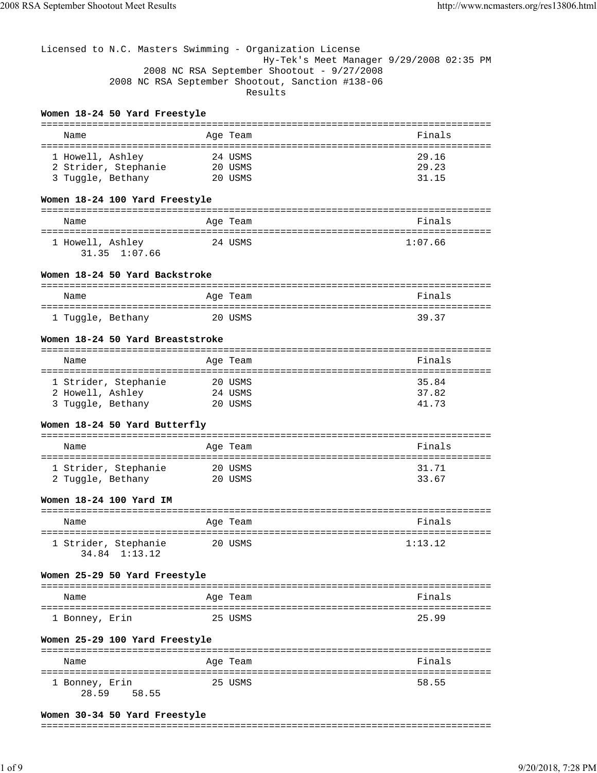|  | Licensed to N.C. Masters Swimming - Organization License |  |
|--|----------------------------------------------------------|--|
|  | Hy-Tek's Meet Manager 9/29/2008 02:35 PM                 |  |
|  | 2008 NC RSA September Shootout - $9/27/2008$             |  |
|  | 2008 NC RSA September Shootout, Sanction #138-06         |  |
|  | Results                                                  |  |
|  |                                                          |  |

# **Women 18-24 50 Yard Freestyle**

| Name                 | Age Team | Finals |
|----------------------|----------|--------|
|                      |          |        |
| 1 Howell, Ashley     | 24 USMS  | 29.16  |
| 2 Strider, Stephanie | 20 USMS  | 29.23  |
| 3 Tuggle, Bethany    | 20 USMS  | 31.15  |

## **Women 18-24 100 Yard Freestyle**

| Finals  |
|---------|
|         |
| 1:07.66 |
|         |

#### **Women 18-24 50 Yard Backstroke**

| Name              | Age Team | Finals |
|-------------------|----------|--------|
| 1 Tuggle, Bethany | 20 USMS  | 39.37  |

#### **Women 18-24 50 Yard Breaststroke**

| Name                 | Age Team | Finals |
|----------------------|----------|--------|
| 1 Strider, Stephanie | 20 USMS  | 35.84  |
| 2 Howell, Ashley     | 24 USMS  | 37.82  |
| 3 Tuggle, Bethany    | 20 USMS  | 41.73  |

#### **Women 18-24 50 Yard Butterfly**

| Name                 | Age Team | Finals |
|----------------------|----------|--------|
| 1 Strider, Stephanie | 20 USMS  | 31.71  |
| 2 Tuggle, Bethany    | 20 USMS  | 33.67  |

### **Women 18-24 100 Yard IM**

| Name                 |               | Age Team | Finals  |
|----------------------|---------------|----------|---------|
| 1 Strider, Stephanie | 34.84 1:13.12 | 20 USMS  | 1:13.12 |

## **Women 25-29 50 Yard Freestyle**

| Name           | Age Team | Finals |
|----------------|----------|--------|
| 1 Bonney, Erin | 25 USMS  | 25.99  |

## **Women 25-29 100 Yard Freestyle**

| Name           | Age Team | Finals |
|----------------|----------|--------|
| 1 Bonney, Erin | 25 USMS  | 58.55  |
| 28.59<br>58.55 |          |        |

#### **Women 30-34 50 Yard Freestyle**

#### ===============================================================================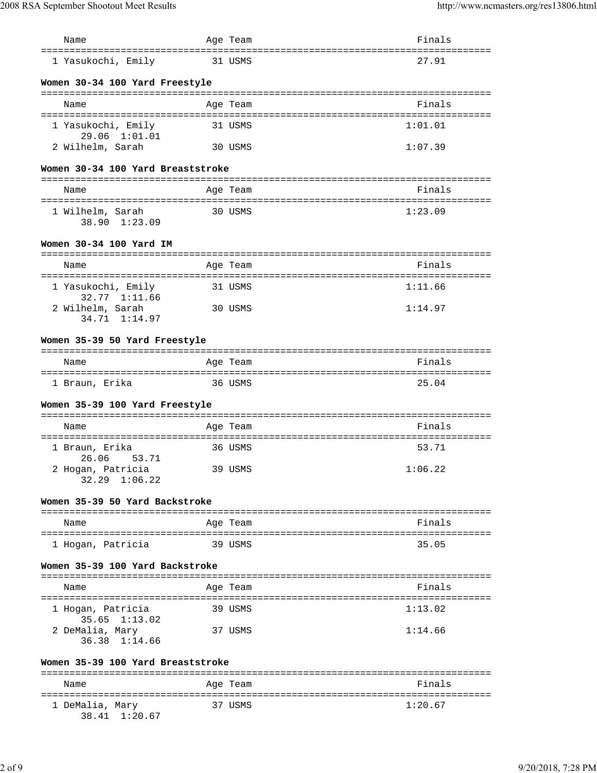| Name                                   | Age Team | Finals  |
|----------------------------------------|----------|---------|
| 1 Yasukochi, Emily                     | 31 USMS  | 27.91   |
| Women 30-34 100 Yard Freestyle         |          |         |
| Name                                   | Age Team | Finals  |
| 1 Yasukochi, Emily<br>29.06 1:01.01    | 31 USMS  | 1:01.01 |
| 2 Wilhelm, Sarah                       | 30 USMS  | 1:07.39 |
| Women 30-34 100 Yard Breaststroke      |          |         |
| Name                                   | Age Team | Finals  |
| 1 Wilhelm, Sarah<br>38.90 1:23.09      | 30 USMS  | 1:23.09 |
| Women 30-34 100 Yard IM                |          |         |
| Name                                   | Age Team | Finals  |
| 1 Yasukochi, Emily<br>32.77 1:11.66    | 31 USMS  | 1:11.66 |
| 2 Wilhelm, Sarah<br>34.71 1:14.97      | 30 USMS  | 1:14.97 |
| Women 35-39 50 Yard Freestyle          |          |         |
| Name                                   | Age Team | Finals  |
| 1 Braun, Erika                         | 36 USMS  | 25.04   |
| Women 35-39 100 Yard Freestyle         |          |         |
| Name                                   | Age Team | Finals  |
| 1 Braun, Erika<br>53.71<br>26.06       | 36 USMS  | 53.71   |
| 2 Hogan, Patricia<br>$32.29$ $1:06.22$ | 39 USMS  | 1:06.22 |
| Women 35-39 50 Yard Backstroke         |          |         |
| Name                                   | Age Team | Finals  |
| 1 Hogan, Patricia                      | 39 USMS  | 35.05   |
| Women 35-39 100 Yard Backstroke        |          |         |
| Name                                   | Age Team | Finals  |
|                                        |          |         |
| 1 Hogan, Patricia<br>$35.65$ $1:13.02$ | 39 USMS  | 1:13.02 |
| 2 DeMalia, Mary<br>36.38 1:14.66       | 37 USMS  | 1:14.66 |
| Women 35-39 100 Yard Breaststroke      |          |         |
| Name                                   | Age Team | Finals  |
| 1 DeMalia, Mary                        | 37 USMS  | 1:20.67 |

38.41 1:20.67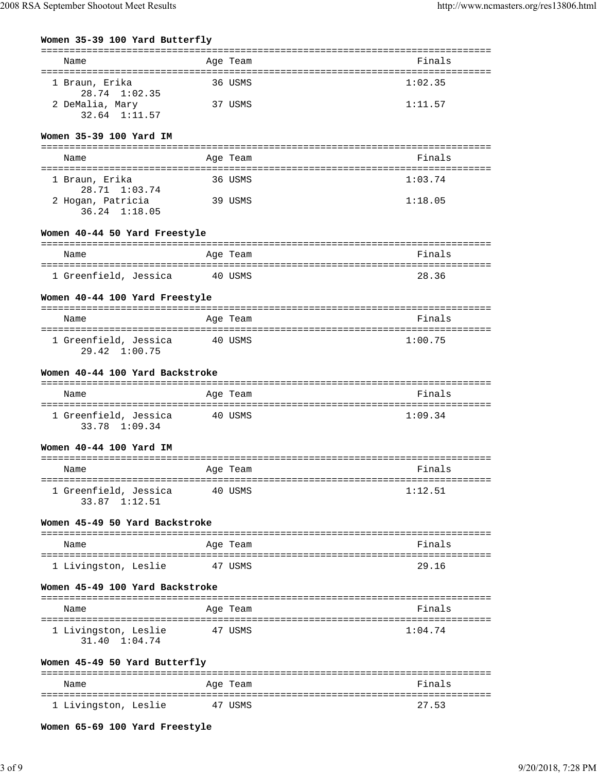| Women 35-39 100 Yard Butterfly                 |          |         |
|------------------------------------------------|----------|---------|
| Name                                           | Age Team | Finals  |
| 1 Braun, Erika<br>28.74 1:02.35                | 36 USMS  | 1:02.35 |
| 2 DeMalia, Mary<br>32.64 1:11.57               | 37 USMS  | 1:11.57 |
| Women 35-39 100 Yard IM                        |          |         |
| Name                                           | Age Team | Finals  |
| 1 Braun, Erika<br>28.71 1:03.74                | 36 USMS  | 1:03.74 |
| 2 Hogan, Patricia<br>36.24 1:18.05             | 39 USMS  | 1:18.05 |
| Women 40-44 50 Yard Freestyle                  |          |         |
| Name                                           | Age Team | Finals  |
| 1 Greenfield, Jessica                          | 40 USMS  | 28.36   |
| Women 40-44 100 Yard Freestyle                 |          |         |
| Name                                           | Age Team | Finals  |
| 1 Greenfield, Jessica<br>$29.42 \quad 1:00.75$ | 40 USMS  | 1:00.75 |
| Women 40-44 100 Yard Backstroke                |          |         |
| Name                                           | Age Team | Finals  |
| 1 Greenfield, Jessica<br>33.78 1:09.34         | 40 USMS  | 1:09.34 |
| Women 40-44 100 Yard IM                        |          |         |
| Name                                           | Age Team | Finals  |
| 1 Greenfield, Jessica<br>33.87 1:12.51         | 40 USMS  | 1:12.51 |
| Women 45-49 50 Yard Backstroke                 |          |         |
| Name                                           | Age Team | Finals  |
| 1 Livingston, Leslie 47 USMS                   |          | 29.16   |
| Women 45-49 100 Yard Backstroke                |          |         |
| Name                                           | Age Team | Finals  |
| 1 Livingston, Leslie<br>31.40 1:04.74          | 47 USMS  | 1:04.74 |
| Women 45-49 50 Yard Butterfly                  |          |         |
| Name                                           | Age Team | Finals  |
| 1 Livingston, Leslie                           | 47 USMS  | 27.53   |

**Women 65-69 100 Yard Freestyle**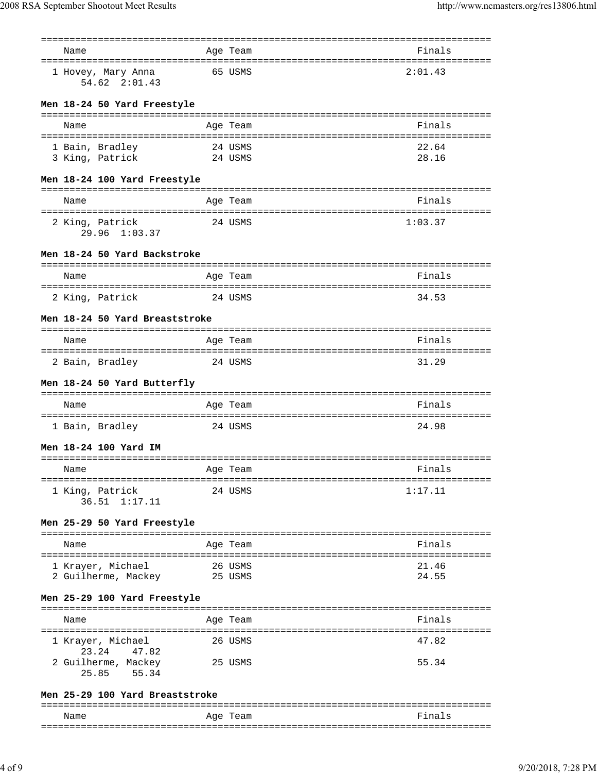| Name<br>======================================             | Age Team<br>===================================   | Finals  |
|------------------------------------------------------------|---------------------------------------------------|---------|
| 1 Hovey, Mary Anna<br>54.62 2:01.43                        | 65 USMS                                           | 2:01.43 |
| Men 18-24 50 Yard Freestyle                                |                                                   |         |
|                                                            |                                                   |         |
| Name                                                       | Age Team                                          | Finals  |
| 1 Bain, Bradley                                            | 24 USMS                                           | 22.64   |
| 3 King, Patrick                                            | 24 USMS                                           | 28.16   |
| Men 18-24 100 Yard Freestyle                               |                                                   |         |
| Name                                                       | =========<br>Age Team                             | Finals  |
| 2 King, Patrick<br>$29.96$ $1:03.37$                       | ======================================<br>24 USMS | 1:03.37 |
| Men 18-24 50 Yard Backstroke                               |                                                   |         |
| Name                                                       | Age Team                                          | Finals  |
| 2 King, Patrick                                            | 24 USMS                                           | 34.53   |
| Men 18-24 50 Yard Breaststroke                             |                                                   |         |
| Name                                                       | Age Team                                          | Finals  |
| 2 Bain, Bradley<br>24 USMS                                 |                                                   | 31.29   |
| Men 18-24 50 Yard Butterfly                                |                                                   |         |
| Name                                                       | Age Team                                          | Finals  |
| 1 Bain, Bradley                                            | 24 USMS                                           | 24.98   |
| Men 18-24 100 Yard IM                                      |                                                   |         |
| Name                                                       | =====================================<br>Age Team | Finals  |
| 1 King, Patrick<br>36.51 1:17.11                           | 24 USMS                                           | 1:17.11 |
| Men 25-29 50 Yard Freestyle<br>=========================== |                                                   |         |
| Name                                                       | Age Team                                          | Finals  |
| 1 Krayer, Michael                                          | 26 USMS                                           | 21.46   |
| 2 Guilherme, Mackey<br>25 USMS                             |                                                   | 24.55   |
|                                                            |                                                   |         |
| Men 25-29 100 Yard Freestyle                               |                                                   |         |
| Name                                                       | Age Team                                          | Finals  |
|                                                            |                                                   |         |
| 1 Krayer, Michael<br>23.24<br>47.82                        | 26 USMS                                           | 47.82   |
| 2 Guilherme, Mackey<br>25.85<br>55.34                      | 25 USMS                                           | 55.34   |
| Men 25-29 100 Yard Breaststroke                            |                                                   |         |

| Name | $\sim$ $\sim$<br>eam<br>Aqe | ---<br>.           |
|------|-----------------------------|--------------------|
|      |                             | ___<br>_ _ _ _ _ _ |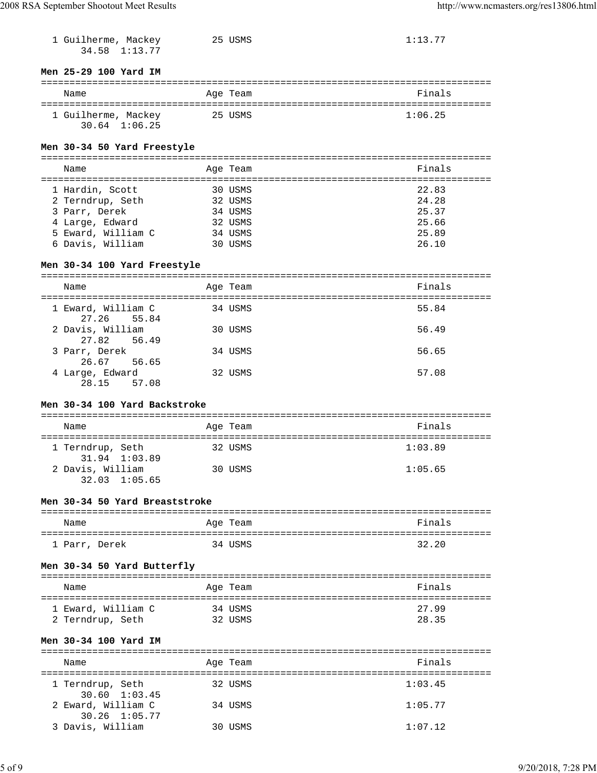| 1 Guilherme, Mackey<br>34.58 1:13.77                         | 25 USMS |                    | 1:13.77        |
|--------------------------------------------------------------|---------|--------------------|----------------|
| Men 25-29 100 Yard IM                                        |         |                    |                |
| Name                                                         |         | Age Team           | Finals         |
| 1 Guilherme, Mackey<br>$30.64$ 1:06.25                       |         | 25 USMS            | 1:06.25        |
| Men 30-34 50 Yard Freestyle                                  |         |                    |                |
| Name                                                         |         | Age Team           | Finals         |
|                                                              |         |                    |                |
| 1 Hardin, Scott                                              |         | 30 USMS<br>32 USMS | 22.83<br>24.28 |
| 2 Terndrup, Seth<br>3 Parr, Derek                            |         | 34 USMS            | 25.37          |
| 4 Large, Edward                                              | 32 USMS |                    | 25.66          |
| 5 Eward, William C                                           | 34 USMS |                    | 25.89          |
| 6 Davis, William                                             | 30 USMS |                    | 26.10          |
| Men 30-34 100 Yard Freestyle                                 |         |                    |                |
|                                                              |         |                    |                |
| Name                                                         |         | Age Team           | Finals         |
| 1 Eward, William C<br>27.26<br>55.84                         |         | 34 USMS            | 55.84          |
| 2 Davis, William<br>27.82<br>56.49                           |         | 30 USMS            | 56.49          |
| 3 Parr, Derek<br>26.67<br>56.65                              |         | 34 USMS            | 56.65          |
| 4 Large, Edward<br>28.15<br>57.08                            |         | 32 USMS            | 57.08          |
| Men 30-34 100 Yard Backstroke                                |         |                    |                |
|                                                              |         |                    |                |
| Name                                                         |         | Age Team           | Finals         |
|                                                              |         |                    |                |
| 1 Terndrup, Seth<br>31.94 1:03.89                            |         | 32 USMS            | 1:03.89        |
| 2 Davis, William<br>$32.03$ $1:05.65$                        |         | 30 USMS            | 1:05.65        |
| Men 30-34 50 Yard Breaststroke                               |         |                    |                |
| Name                                                         |         | Age Team           | Finals         |
| 1 Parr, Derek                                                |         | 34 USMS            | 32.20          |
| Men 30-34 50 Yard Butterfly                                  |         |                    |                |
|                                                              |         |                    |                |
| Name                                                         |         | Age Team           | Finals         |
| 1 Eward, William C                                           |         | 34 USMS            | 27.99          |
| 2 Terndrup, Seth                                             | 32 USMS |                    | 28.35          |
| Men 30-34 100 Yard IM                                        |         |                    |                |
|                                                              |         |                    |                |
| Name                                                         |         | Age Team           | Finals         |
| 1 Terndrup, Seth                                             |         | 32 USMS            | 1:03.45        |
| $30.60 \quad 1:03.45$<br>2 Eward, William C<br>30.26 1:05.77 |         | 34 USMS            | 1:05.77        |

3 Davis, William 30 USMS 1:07.12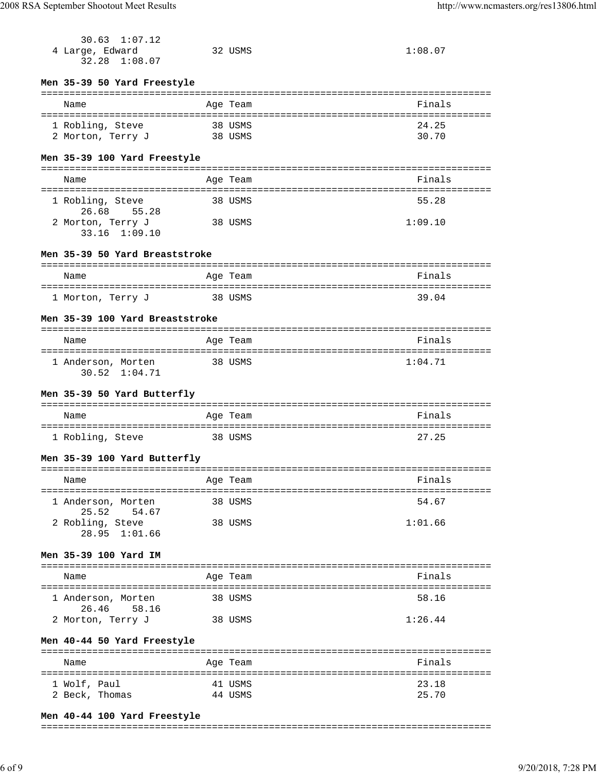| $30.63 \quad 1:07.12$<br>4 Large, Edward<br>32.28<br>1:08.07 | 32 USMS            | 1:08.07                                     |  |  |  |  |
|--------------------------------------------------------------|--------------------|---------------------------------------------|--|--|--|--|
| Men 35-39 50 Yard Freestyle                                  |                    |                                             |  |  |  |  |
| Name                                                         | Age Team           | Finals                                      |  |  |  |  |
|                                                              |                    | 24.25                                       |  |  |  |  |
| 1 Robling, Steve<br>2 Morton, Terry J                        | 38 USMS<br>38 USMS | 30.70                                       |  |  |  |  |
| Men 35-39 100 Yard Freestyle                                 |                    |                                             |  |  |  |  |
| Name                                                         | Age Team           | Finals                                      |  |  |  |  |
|                                                              |                    |                                             |  |  |  |  |
| 1 Robling, Steve<br>26.68<br>55.28                           | 38 USMS            | 55.28                                       |  |  |  |  |
| 2 Morton, Terry J<br>$33.16$ $1:09.10$                       | 38 USMS            | 1:09.10                                     |  |  |  |  |
| Men 35-39 50 Yard Breaststroke                               |                    |                                             |  |  |  |  |
| Name                                                         | Age Team           | Finals                                      |  |  |  |  |
|                                                              |                    |                                             |  |  |  |  |
| 1 Morton, Terry J                                            | 38 USMS            | 39.04                                       |  |  |  |  |
| Men 35-39 100 Yard Breaststroke                              |                    |                                             |  |  |  |  |
| Name                                                         | Age Team           | Finals                                      |  |  |  |  |
| 1 Anderson, Morten<br>30.52 1:04.71                          | 38 USMS            | 1:04.71                                     |  |  |  |  |
| Men 35-39 50 Yard Butterfly                                  |                    |                                             |  |  |  |  |
| Name                                                         | Age Team           | =================================<br>Finals |  |  |  |  |
| 1 Robling, Steve                                             | 38 USMS            | 27.25                                       |  |  |  |  |
| Men 35-39 100 Yard Butterfly                                 |                    |                                             |  |  |  |  |
| Name                                                         | Age Team           | Finals                                      |  |  |  |  |
|                                                              |                    |                                             |  |  |  |  |
| 1 Anderson, Morten<br>25.52 54.67                            | 38 USMS            | 54.67                                       |  |  |  |  |
| 2 Robling, Steve<br>28.95 1:01.66                            | 38 USMS            | 1:01.66                                     |  |  |  |  |
| Men 35-39 100 Yard IM                                        |                    |                                             |  |  |  |  |
| Name                                                         | Age Team           | Finals                                      |  |  |  |  |
|                                                              |                    |                                             |  |  |  |  |
| 1 Anderson, Morten<br>26.46 58.16                            | 38 USMS            | 58.16                                       |  |  |  |  |
| 2 Morton, Terry J                                            | 38 USMS            | 1:26.44                                     |  |  |  |  |
| Men 40-44 50 Yard Freestyle                                  |                    |                                             |  |  |  |  |
| Name                                                         | Age Team           | Finals                                      |  |  |  |  |
|                                                              |                    |                                             |  |  |  |  |
| 1 Wolf, Paul<br>2 Beck, Thomas                               | 41 USMS<br>44 USMS | 23.18<br>25.70                              |  |  |  |  |
|                                                              |                    |                                             |  |  |  |  |

# **Men 40-44 100 Yard Freestyle**

===============================================================================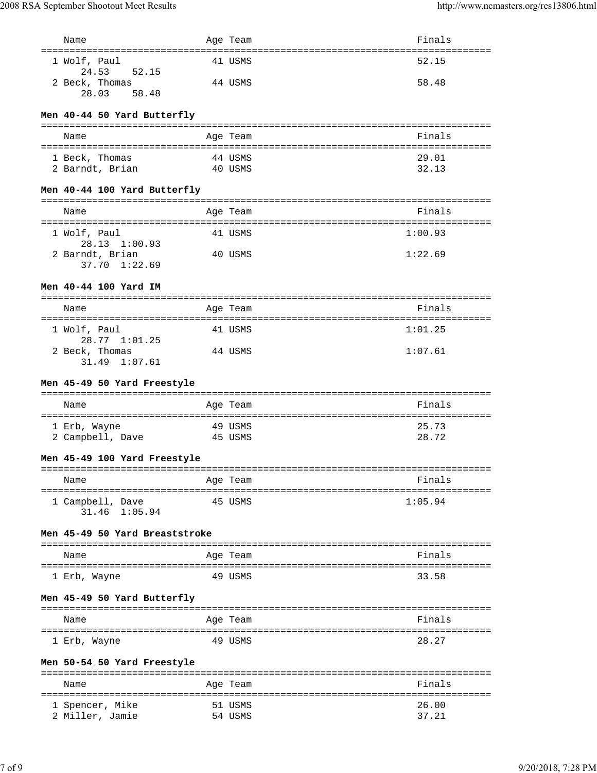| Name                                                                   | Age Team                              | Finals  |
|------------------------------------------------------------------------|---------------------------------------|---------|
| ====================================<br>1 Wolf, Paul<br>24.53<br>52.15 | ==========================<br>41 USMS | 52.15   |
| 2 Beck, Thomas<br>28.03<br>58.48                                       | 44 USMS                               | 58.48   |
| Men 40-44 50 Yard Butterfly                                            |                                       |         |
| Name                                                                   | Age Team                              | Finals  |
| 1 Beck, Thomas                                                         | 44 USMS                               | 29.01   |
| 2 Barndt, Brian                                                        | 40 USMS                               | 32.13   |
| Men 40-44 100 Yard Butterfly                                           |                                       |         |
| Name                                                                   | Age Team                              | Finals  |
| 1 Wolf, Paul<br>28.13 1:00.93                                          | 41 USMS                               | 1:00.93 |
| 2 Barndt, Brian<br>37.70 1:22.69                                       | 40 USMS                               | 1:22.69 |
| Men 40-44 100 Yard IM                                                  |                                       |         |
| Name                                                                   | Age Team                              | Finals  |
| 1 Wolf, Paul<br>28.77 1:01.25                                          | 41 USMS                               | 1:01.25 |
| 2 Beck, Thomas<br>31.49 1:07.61                                        | 44 USMS                               | 1:07.61 |
|                                                                        |                                       |         |
|                                                                        |                                       |         |
| Men 45-49 50 Yard Freestyle                                            |                                       |         |
| Name                                                                   | Age Team                              | Finals  |
| 1 Erb, Wayne                                                           | 49 USMS                               | 25.73   |
| 2 Campbell, Dave                                                       | 45 USMS                               | 28.72   |
| Men 45-49 100 Yard Freestyle                                           |                                       |         |
| Name                                                                   | Age Team                              | Finals  |
| =====================================                                  | :============<br>45 USMS              | 1:05.94 |
| 1 Campbell, Dave<br>31.46 1:05.94                                      |                                       |         |
| Men 45-49 50 Yard Breaststroke                                         |                                       |         |
| Name                                                                   | Age Team                              | Finals  |
|                                                                        |                                       |         |
| 1 Erb, Wayne                                                           | 49 USMS                               | 33.58   |
| Men 45-49 50 Yard Butterfly                                            |                                       |         |
| Name                                                                   | Age Team                              | Finals  |
| 1 Erb, Wayne                                                           | 49 USMS                               | 28.27   |
| Men 50-54 50 Yard Freestyle                                            | ==================================    |         |
| Name                                                                   | Age Team                              | Finals  |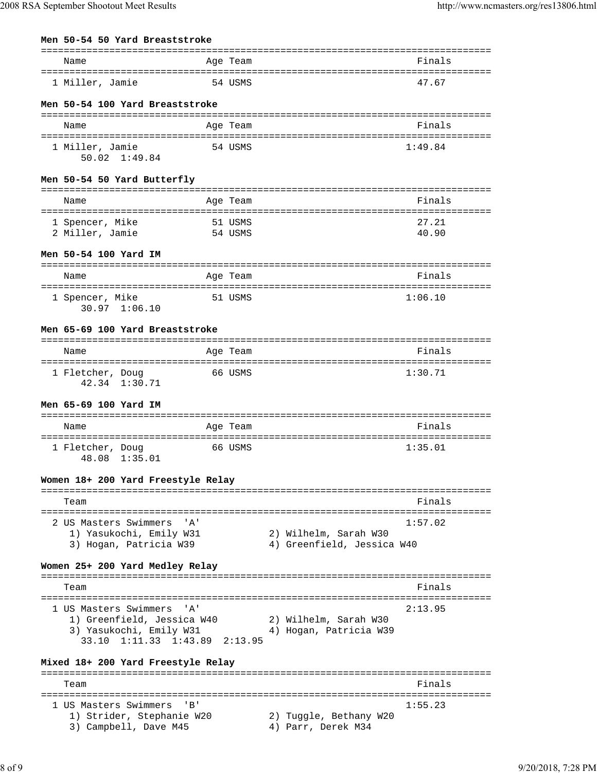| Men 50-54 50 Yard Breaststroke                                                 |                                        |                    |  |                                                     |                                  |  |
|--------------------------------------------------------------------------------|----------------------------------------|--------------------|--|-----------------------------------------------------|----------------------------------|--|
| Name                                                                           |                                        | Age Team           |  |                                                     | Finals                           |  |
| 1 Miller, Jamie                                                                |                                        | 54 USMS            |  |                                                     | 47.67                            |  |
| Men 50-54 100 Yard Breaststroke                                                |                                        |                    |  |                                                     |                                  |  |
| Name                                                                           |                                        | Age Team           |  |                                                     | Finals                           |  |
| 1 Miller, Jamie<br>$50.02 \quad 1:49.84$                                       |                                        | 54 USMS            |  |                                                     | 1:49.84                          |  |
| Men 50-54 50 Yard Butterfly                                                    |                                        |                    |  |                                                     |                                  |  |
| Name                                                                           |                                        | Age Team           |  |                                                     | Finals                           |  |
| 1 Spencer, Mike<br>2 Miller, Jamie                                             |                                        | 51 USMS<br>54 USMS |  |                                                     | 27.21<br>40.90                   |  |
| Men 50-54 100 Yard IM                                                          |                                        |                    |  | ---------------------------                         |                                  |  |
| Name                                                                           |                                        | Age Team           |  |                                                     | Finals                           |  |
| 1 Spencer, Mike<br>30.97 1:06.10                                               |                                        | 51 USMS            |  |                                                     | 1:06.10                          |  |
| Men 65-69 100 Yard Breaststroke                                                |                                        |                    |  |                                                     |                                  |  |
| Name                                                                           |                                        | Age Team           |  |                                                     | Finals                           |  |
| 1 Fletcher, Doug<br>42.34 1:30.71                                              |                                        | 66 USMS            |  |                                                     | 1:30.71                          |  |
| Men 65-69 100 Yard IM                                                          |                                        |                    |  |                                                     |                                  |  |
| Name                                                                           |                                        | Age Team           |  |                                                     | Finals                           |  |
| -----------------------<br>1 Fletcher, Doug<br>1:35.01<br>48.08                | --------------                         | 66 USMS            |  |                                                     | =================<br>1:35.01     |  |
| Women 18+ 200 Yard Freestyle Relay                                             |                                        |                    |  |                                                     |                                  |  |
| Team                                                                           |                                        |                    |  |                                                     | Finals                           |  |
| 2 US Masters Swimmers                                                          | ' A'                                   |                    |  |                                                     | 1:57.02                          |  |
| 1) Yasukochi, Emily W31<br>3) Hogan, Patricia W39                              |                                        |                    |  | 2) Wilhelm, Sarah W30<br>4) Greenfield, Jessica W40 |                                  |  |
| Women 25+ 200 Yard Medley Relay                                                |                                        |                    |  |                                                     |                                  |  |
| Team                                                                           |                                        |                    |  |                                                     | Finals                           |  |
| 1 US Masters Swimmers<br>1) Greenfield, Jessica W40<br>3) Yasukochi, Emily W31 | י A י<br>33.10 1:11.33 1:43.89 2:13.95 |                    |  | 2) Wilhelm, Sarah W30<br>4) Hogan, Patricia W39     | :====================<br>2:13.95 |  |
| Mixed 18+ 200 Yard Freestyle Relay                                             |                                        |                    |  |                                                     |                                  |  |
| Team                                                                           |                                        |                    |  |                                                     | Finals                           |  |
| 1 US Masters Swimmers<br>1) Strider, Stephanie W20<br>3) Campbell, Dave M45    | $'$ B $'$                              |                    |  | 2) Tuggle, Bethany W20<br>4) Parr, Derek M34        | 1:55.23                          |  |